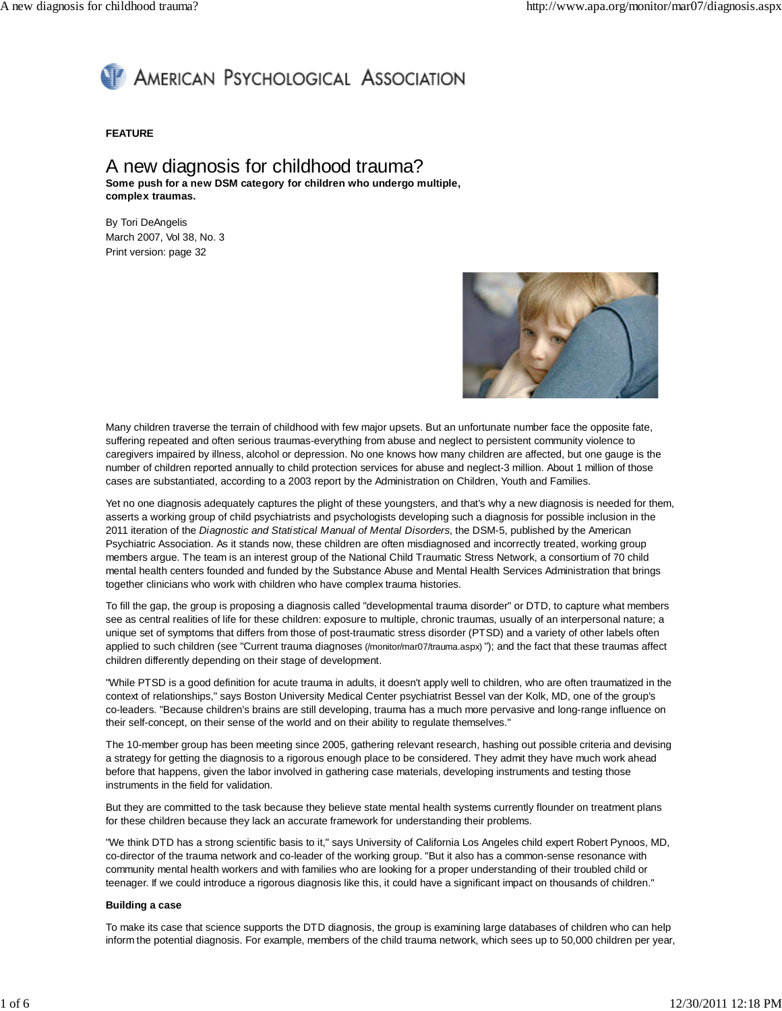# AMERICAN PSYCHOLOGICAL ASSOCIATION

#### **FEATURE**

## A new diagnosis for childhood trauma? **Some push for a new DSM category for children who undergo multiple, complex traumas.**

By Tori DeAngelis March 2007, Vol 38, No. 3 Print version: page 32



Many children traverse the terrain of childhood with few major upsets. But an unfortunate number face the opposite fate, suffering repeated and often serious traumas-everything from abuse and neglect to persistent community violence to caregivers impaired by illness, alcohol or depression. No one knows how many children are affected, but one gauge is the number of children reported annually to child protection services for abuse and neglect-3 million. About 1 million of those cases are substantiated, according to a 2003 report by the Administration on Children, Youth and Families.

Yet no one diagnosis adequately captures the plight of these youngsters, and that's why a new diagnosis is needed for them, asserts a working group of child psychiatrists and psychologists developing such a diagnosis for possible inclusion in the 2011 iteration of the Diagnostic and Statistical Manual of Mental Disorders, the DSM-5, published by the American Psychiatric Association. As it stands now, these children are often misdiagnosed and incorrectly treated, working group members argue. The team is an interest group of the National Child Traumatic Stress Network, a consortium of 70 child mental health centers founded and funded by the Substance Abuse and Mental Health Services Administration that brings together clinicians who work with children who have complex trauma histories.

To fill the gap, the group is proposing a diagnosis called "developmental trauma disorder" or DTD, to capture what members see as central realities of life for these children: exposure to multiple, chronic traumas, usually of an interpersonal nature; a unique set of symptoms that differs from those of post-traumatic stress disorder (PTSD) and a variety of other labels often applied to such children (see "Current trauma diagnoses (/monitor/mar07/trauma.aspx) "); and the fact that these traumas affect children differently depending on their stage of development.

"While PTSD is a good definition for acute trauma in adults, it doesn't apply well to children, who are often traumatized in the context of relationships," says Boston University Medical Center psychiatrist Bessel van der Kolk, MD, one of the group's co-leaders. "Because children's brains are still developing, trauma has a much more pervasive and long-range influence on their self-concept, on their sense of the world and on their ability to regulate themselves."

The 10-member group has been meeting since 2005, gathering relevant research, hashing out possible criteria and devising a strategy for getting the diagnosis to a rigorous enough place to be considered. They admit they have much work ahead before that happens, given the labor involved in gathering case materials, developing instruments and testing those instruments in the field for validation.

But they are committed to the task because they believe state mental health systems currently flounder on treatment plans for these children because they lack an accurate framework for understanding their problems.

"We think DTD has a strong scientific basis to it," says University of California Los Angeles child expert Robert Pynoos, MD, co-director of the trauma network and co-leader of the working group. "But it also has a common-sense resonance with community mental health workers and with families who are looking for a proper understanding of their troubled child or teenager. If we could introduce a rigorous diagnosis like this, it could have a significant impact on thousands of children."

#### **Building a case**

To make its case that science supports the DTD diagnosis, the group is examining large databases of children who can help inform the potential diagnosis. For example, members of the child trauma network, which sees up to 50,000 children per year,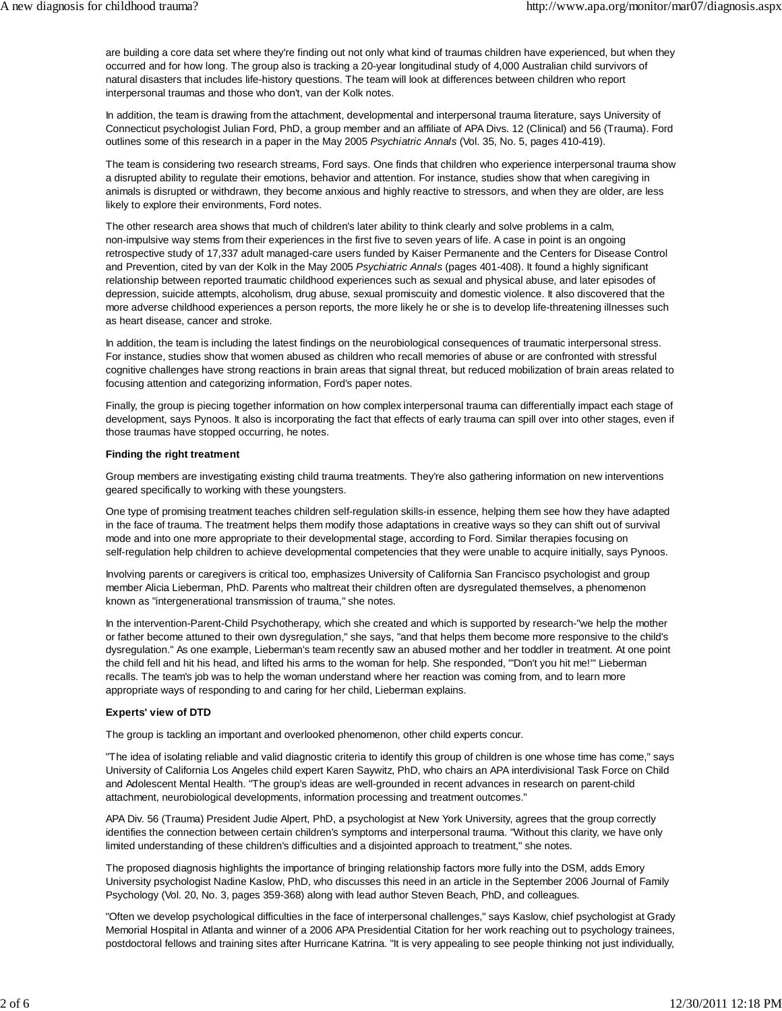are building a core data set where they're finding out not only what kind of traumas children have experienced, but when they occurred and for how long. The group also is tracking a 20-year longitudinal study of 4,000 Australian child survivors of natural disasters that includes life-history questions. The team will look at differences between children who report interpersonal traumas and those who don't, van der Kolk notes.

In addition, the team is drawing from the attachment, developmental and interpersonal trauma literature, says University of Connecticut psychologist Julian Ford, PhD, a group member and an affiliate of APA Divs. 12 (Clinical) and 56 (Trauma). Ford outlines some of this research in a paper in the May 2005 Psychiatric Annals (Vol. 35, No. 5, pages 410-419).

The team is considering two research streams, Ford says. One finds that children who experience interpersonal trauma show a disrupted ability to regulate their emotions, behavior and attention. For instance, studies show that when caregiving in animals is disrupted or withdrawn, they become anxious and highly reactive to stressors, and when they are older, are less likely to explore their environments, Ford notes.

The other research area shows that much of children's later ability to think clearly and solve problems in a calm, non-impulsive way stems from their experiences in the first five to seven years of life. A case in point is an ongoing retrospective study of 17,337 adult managed-care users funded by Kaiser Permanente and the Centers for Disease Control and Prevention, cited by van der Kolk in the May 2005 Psychiatric Annals (pages 401-408). It found a highly significant relationship between reported traumatic childhood experiences such as sexual and physical abuse, and later episodes of depression, suicide attempts, alcoholism, drug abuse, sexual promiscuity and domestic violence. It also discovered that the more adverse childhood experiences a person reports, the more likely he or she is to develop life-threatening illnesses such as heart disease, cancer and stroke.

In addition, the team is including the latest findings on the neurobiological consequences of traumatic interpersonal stress. For instance, studies show that women abused as children who recall memories of abuse or are confronted with stressful cognitive challenges have strong reactions in brain areas that signal threat, but reduced mobilization of brain areas related to focusing attention and categorizing information, Ford's paper notes.

Finally, the group is piecing together information on how complex interpersonal trauma can differentially impact each stage of development, says Pynoos. It also is incorporating the fact that effects of early trauma can spill over into other stages, even if those traumas have stopped occurring, he notes.

#### **Finding the right treatment**

Group members are investigating existing child trauma treatments. They're also gathering information on new interventions geared specifically to working with these youngsters.

One type of promising treatment teaches children self-regulation skills-in essence, helping them see how they have adapted in the face of trauma. The treatment helps them modify those adaptations in creative ways so they can shift out of survival mode and into one more appropriate to their developmental stage, according to Ford. Similar therapies focusing on self-regulation help children to achieve developmental competencies that they were unable to acquire initially, says Pynoos.

Involving parents or caregivers is critical too, emphasizes University of California San Francisco psychologist and group member Alicia Lieberman, PhD. Parents who maltreat their children often are dysregulated themselves, a phenomenon known as "intergenerational transmission of trauma," she notes.

In the intervention-Parent-Child Psychotherapy, which she created and which is supported by research-"we help the mother or father become attuned to their own dysregulation," she says, "and that helps them become more responsive to the child's dysregulation." As one example, Lieberman's team recently saw an abused mother and her toddler in treatment. At one point the child fell and hit his head, and lifted his arms to the woman for help. She responded, '"Don't you hit me!"' Lieberman recalls. The team's job was to help the woman understand where her reaction was coming from, and to learn more appropriate ways of responding to and caring for her child, Lieberman explains.

#### **Experts' view of DTD**

The group is tackling an important and overlooked phenomenon, other child experts concur.

"The idea of isolating reliable and valid diagnostic criteria to identify this group of children is one whose time has come," says University of California Los Angeles child expert Karen Saywitz, PhD, who chairs an APA interdivisional Task Force on Child and Adolescent Mental Health. "The group's ideas are well-grounded in recent advances in research on parent-child attachment, neurobiological developments, information processing and treatment outcomes."

APA Div. 56 (Trauma) President Judie Alpert, PhD, a psychologist at New York University, agrees that the group correctly identifies the connection between certain children's symptoms and interpersonal trauma. "Without this clarity, we have only limited understanding of these children's difficulties and a disjointed approach to treatment," she notes.

The proposed diagnosis highlights the importance of bringing relationship factors more fully into the DSM, adds Emory University psychologist Nadine Kaslow, PhD, who discusses this need in an article in the September 2006 Journal of Family Psychology (Vol. 20, No. 3, pages 359-368) along with lead author Steven Beach, PhD, and colleagues.

"Often we develop psychological difficulties in the face of interpersonal challenges," says Kaslow, chief psychologist at Grady Memorial Hospital in Atlanta and winner of a 2006 APA Presidential Citation for her work reaching out to psychology trainees, postdoctoral fellows and training sites after Hurricane Katrina. "It is very appealing to see people thinking not just individually,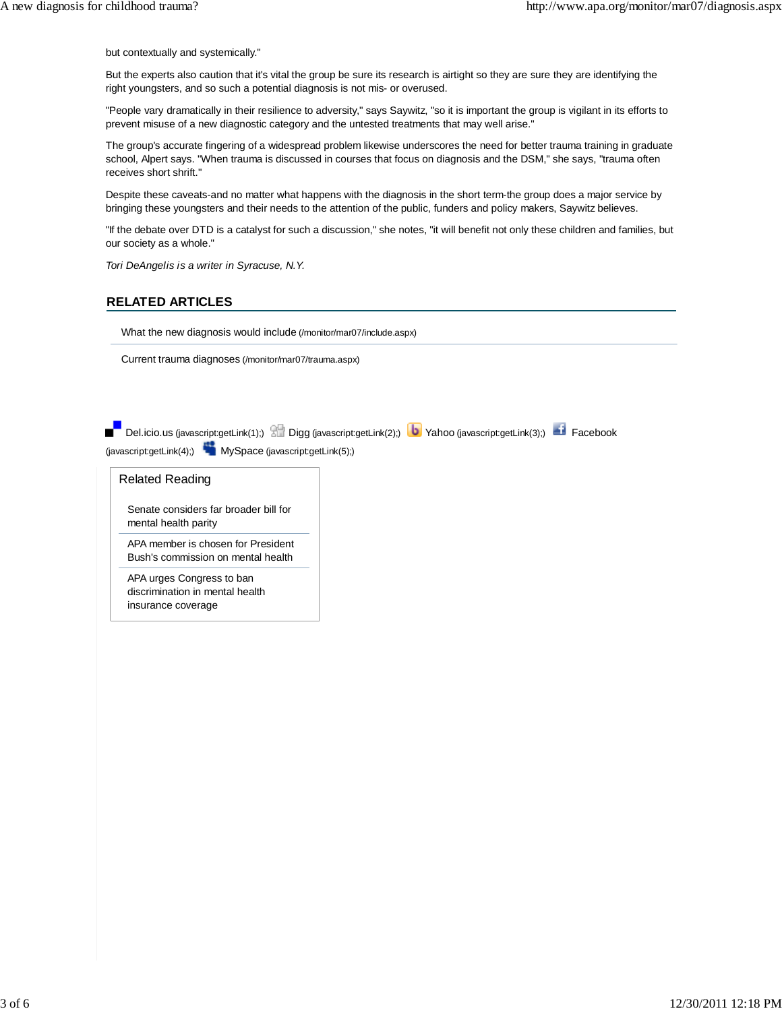but contextually and systemically."

But the experts also caution that it's vital the group be sure its research is airtight so they are sure they are identifying the right youngsters, and so such a potential diagnosis is not mis- or overused.

"People vary dramatically in their resilience to adversity," says Saywitz, "so it is important the group is vigilant in its efforts to prevent misuse of a new diagnostic category and the untested treatments that may well arise."

The group's accurate fingering of a widespread problem likewise underscores the need for better trauma training in graduate school, Alpert says. "When trauma is discussed in courses that focus on diagnosis and the DSM," she says, "trauma often receives short shrift."

Despite these caveats-and no matter what happens with the diagnosis in the short term-the group does a major service by bringing these youngsters and their needs to the attention of the public, funders and policy makers, Saywitz believes.

"If the debate over DTD is a catalyst for such a discussion," she notes, "it will benefit not only these children and families, but our society as a whole."

Tori DeAngelis is a writer in Syracuse, N.Y.

### **RELATED ARTICLES**

What the new diagnosis would include (/monitor/mar07/include.aspx)

Current trauma diagnoses (/monitor/mar07/trauma.aspx)

| (javascript:getLink(4);) MySpace (javascript:getLink(5);) | Del.icio.us (javascript:getLink(1);) 8 Digg (javascript:getLink(2);) <b>b</b> Yahoo (javascript:getLink(3);) <b>b</b> Facebook |
|-----------------------------------------------------------|--------------------------------------------------------------------------------------------------------------------------------|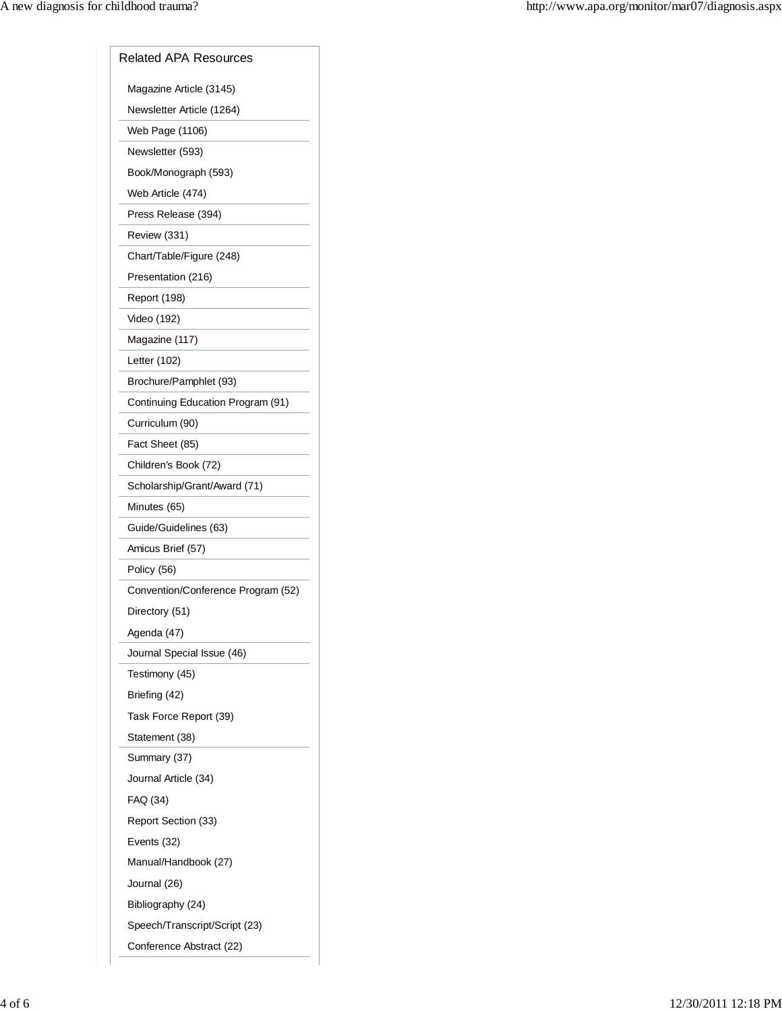| <b>Related APA Resources</b>       |
|------------------------------------|
| Magazine Article (3145)            |
| Newsletter Article (1264)          |
| Web Page (1106)                    |
| Newsletter (593)                   |
| Book/Monograph (593)               |
| Web Article (474)                  |
| Press Release (394)                |
| Review (331)                       |
| Chart/Table/Figure (248)           |
| Presentation (216)                 |
| Report (198)                       |
| Video (192)                        |
| Magazine (117)                     |
| Letter (102)                       |
| Brochure/Pamphlet (93)             |
| Continuing Education Program (91)  |
| Curriculum (90)                    |
| Fact Sheet (85)                    |
| Children's Book (72)               |
| Scholarship/Grant/Award (71)       |
| Minutes (65)                       |
| Guide/Guidelines (63)              |
| Amicus Brief (57)                  |
| Policy (56)                        |
| Convention/Conference Program (52) |
| Directory (51)                     |
| Agenda (47)                        |
| Journal Special Issue (46)         |
| Testimony (45)                     |
| Briefing (42)                      |
| Task Force Report (39)             |
| Statement (38)                     |
| Summary (37)                       |
| Journal Article (34)               |
| FAQ (34)                           |
| Report Section (33)                |
| Events (32)                        |
| Manual/Handbook (27)               |
| Journal (26)                       |
| Bibliography (24)                  |
| Speech/Transcript/Script (23)      |
| Conference Abstract (22)           |
|                                    |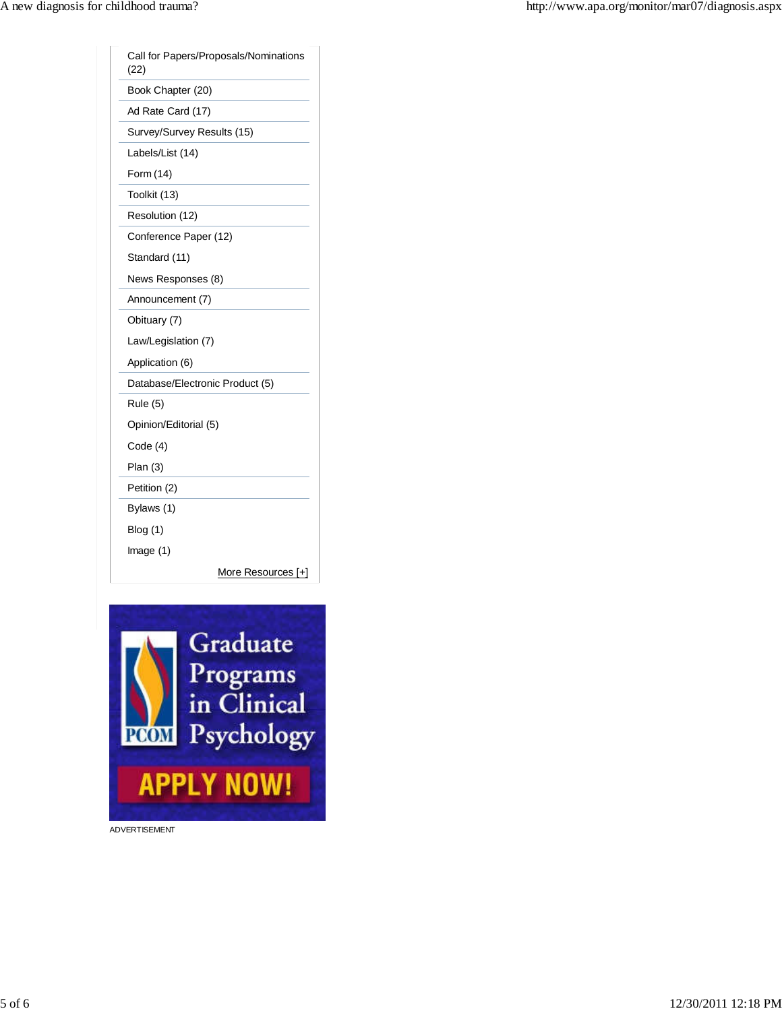| (22)                            | Call for Papers/Proposals/Nominations |
|---------------------------------|---------------------------------------|
| Book Chapter (20)               |                                       |
| Ad Rate Card (17)               |                                       |
| Survey/Survey Results (15)      |                                       |
| Labels/List (14)                |                                       |
| Form (14)                       |                                       |
| Toolkit (13)                    |                                       |
| Resolution (12)                 |                                       |
| Conference Paper (12)           |                                       |
| Standard (11)                   |                                       |
| News Responses (8)              |                                       |
| Announcement (7)                |                                       |
| Obituary (7)                    |                                       |
| Law/Legislation (7)             |                                       |
| Application (6)                 |                                       |
| Database/Electronic Product (5) |                                       |
| <b>Rule (5)</b>                 |                                       |
| Opinion/Editorial (5)           |                                       |
| Code(4)                         |                                       |
| Plan(3)                         |                                       |
| Petition (2)                    |                                       |
| Bylaws (1)                      |                                       |
| Blog(1)                         |                                       |
| Image $(1)$                     |                                       |
|                                 | More Resources [+]                    |



ADVERTISEMENT